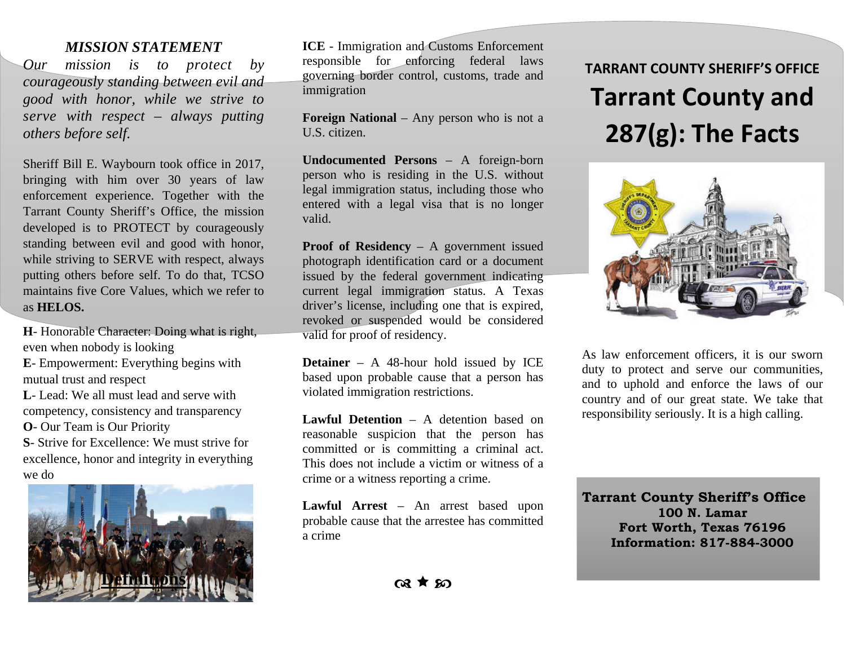#### *MISSION STATEMENT*

*Our mission is to protect by courageously standing between evil and good with honor, while we strive to serve with respect – always putting others before self.* 

Sheriff Bill E. Waybourn took office in 2017, bringing with him over 30 years of law enforcement experience. Together with the Tarrant County Sheriff's Office, the mission developed is to PROTECT by courageously standing between evil and good with honor, while striving to SERVE with respect, always putting others before self. To do that, TCSO maintains five Core Values, which we refer to as **HELOS.** 

**H**- Honorable Character: Doing what is right, even when nobody is looking

**E**- Empowerment: Everything begins with mutual trust and respect

**L**- Lead: We all must lead and serve with competency, consistency and transparency

**O**- Our Team is Our Priority

**S**- Strive for Excellence: We must strive for excellence, honor and integrity in everything we do



**ICE** - Immigration and Customs Enforcement responsible for enforcing federal laws governing border control, customs, trade and immigration

**Foreign National** – Any person who is not a U.S. citizen.

**Undocumented Persons** – A foreign-born person who is residing in the U.S. without legal immigration status, including those who entered with a legal visa that is no longer valid.

**Proof of Residency** – A government issued photograph identification card or a document issued by the federal government indicating current legal immigration status. A Texas driver's license, including one that is expired, revoked or suspended would be considered valid for proof of residency.

**Detainer** – A 48-hour hold issued by ICE based upon probable cause that a person has violated immigration restrictions.

**Lawful Detention** – A detention based on reasonable suspicion that the person has committed or is committing a criminal act. This does not include a victim or witness of a crime or a witness reporting a crime.

**Lawful Arrest** – An arrest based upon probable cause that the arrestee has committed a crime

# **TARRANT COUNTY SHERIFF'S OFFICE Tarrant County and 287(g): The Facts**



As law enforcement officers, it is our sworn duty to protect and serve our communities, and to uphold and enforce the laws of our country and of our great state. We take that responsibility seriously. It is a high calling.

**Tarrant County Sheriff's Office 100 N. Lamar Fort Worth, Texas 76196 Information: 817-884-3000**